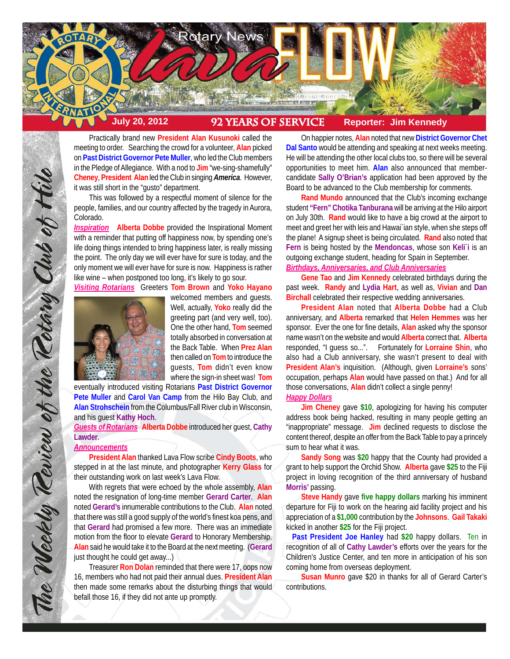

Practically brand new **President Alan Kusunoki** called the meeting to order. Searching the crowd for a volunteer, **Alan** picked on **Past District Governor Pete Muller**, who led the Club members in the Pledge of Allegiance. With a nod to **Jim** "we-sing-shamefully" **Cheney**, **President Alan** led the Club in singing *America*. However, it was still short in the "gusto" department.

This was followed by a respectful moment of silence for the people, families, and our country affected by the tragedy in Aurora, Colorado.

*Inspiration* **Alberta Dobbe** provided the Inspirational Moment with a reminder that putting off happiness now, by spending one's life doing things intended to bring happiness later, is really missing the point. The only day we will ever have for sure is today, and the only moment we will ever have for sure is now. Happiness is rather like wine – when postponed too long, it's likely to go sour.

*Visiting Rotarians* Greeters **Tom Brown** and **Yoko Hayano**



welcomed members and guests. Well, actually, **Yoko** really did the greeting part (and very well, too). One the other hand, **Tom** seemed totally absorbed in conversation at the Back Table. When **Prez Alan** then called on **Tom** to introduce the guests, **Tom** didn't even know where the sign-in sheet was! **Tom**

eventually introduced visiting Rotarians **Past District Governor Pete Muller** and **Carol Van Camp** from the Hilo Bay Club, and **Alan Strohschein** from the Columbus/Fall River club in Wisconsin, and his guest **Kathy Hoch**.

*Guests of Rotarians* **Alberta Dobbe** introduced her guest, **Cathy Lawder**.

# *Announcements*

The Weekly Teview of the Tetary Club of Hilo

**President Alan** thanked Lava Flow scribe **Cindy Boots**, who stepped in at the last minute, and photographer **Kerry Glass** for their outstanding work on last week's Lava Flow.

With regrets that were echoed by the whole assembly, **Alan** noted the resignation of long-time member **Gerard Carter**. **Alan** noted **Gerard's** innumerable contributions to the Club. **Alan** noted that there was still a good supply of the world's finest koa pens, and that **Gerard** had promised a few more. There was an immediate motion from the floor to elevate **Gerard** to Honorary Membership. **Alan** said he would take it to the Board at the next meeting. (**Gerard** just thought he could get away...)

Treasurer **Ron Dolan** reminded that there were 17, oops now 16, members who had not paid their annual dues. **President Alan** then made some remarks about the disturbing things that would befall those 16, if they did not ante up promptly.

On happier notes, **Alan** noted that new **District Governor Chet Dal Santo** would be attending and speaking at next weeks meeting. He will be attending the other local clubs too, so there will be several opportunities to meet him. **Alan** also announced that membercandidate **Sally O'Brian's** application had been approved by the Board to be advanced to the Club membership for comments.

**Rand Mundo** announced that the Club's incoming exchange student **"Fern" Chotika Tanburana** will be arriving at the Hilo airport on July 30th. **Rand** would like to have a big crowd at the airport to meet and greet her with leis and Hawai`ian style, when she steps off the plane! A signup sheet is being circulated. **Rand** also noted that **Fern** is being hosted by the **Mendoncas**, whose son **Keli`i** is an outgoing exchange student, heading for Spain in September. *Birthdays, Anniversaries, and Club Anniversaries*

**Gene Tao** and **Jim Kennedy** celebrated birthdays during the past week. **Randy** and **Lydia Hart**, as well as, **Vivian** and **Dan Birchall** celebrated their respective wedding anniversaries.

**President Alan** noted that **Alberta Dobbe** had a Club anniversary, and **Alberta** remarked that **Helen Hemmes** was her sponsor. Ever the one for fine details, **Alan** asked why the sponsor name wasn't on the website and would **Alberta** correct that. **Alberta** responded, "I guess so...". Fortunately for **Lorraine Shin**, who also had a Club anniversary, she wasn't present to deal with **President Alan's** inquisition. (Although, given **Lorraine's** sons' occupation, perhaps **Alan** would have passed on that.) And for all those conversations, **Alan** didn't collect a single penny! *Happy Dollars*

**Jim Cheney** gave **\$10**, apologizing for having his computer address book being hacked, resulting in many people getting an "inappropriate" message. **Jim** declined requests to disclose the content thereof, despite an offer from the Back Table to pay a princely sum to hear what it was.

**Sandy Song** was **\$20** happy that the County had provided a grant to help support the Orchid Show. **Alberta** gave **\$25** to the Fiji project in loving recognition of the third anniversary of husband **Morris'** passing.

**Steve Handy** gave **five happy dollars** marking his imminent departure for Fiji to work on the hearing aid facility project and his appreciation of a **\$1,000** contribution by the **Johnsons**. **Gail Takaki** kicked in another **\$25** for the Fiji project.

 **Past President Joe Hanley** had **\$20** happy dollars. Ten in recognition of all of **Cathy Lawder's** efforts over the years for the Children's Justice Center, and ten more in anticipation of his son coming home from overseas deployment.

**Susan Munro** gave \$20 in thanks for all of Gerard Carter's contributions.